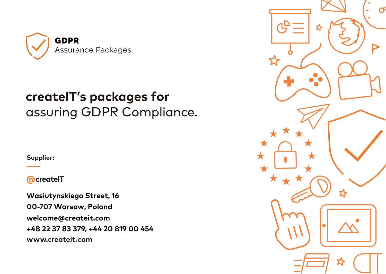

# **createIT's packages for** assuring GDPR Compliance.

**Supplier:**

**@createlT** 

**Wasiutynskiego Street, 16 00-707 Warsaw, Poland welcome@createit.com +48 22 37 83 379, +44 20 819 00 454 www.createit.com**

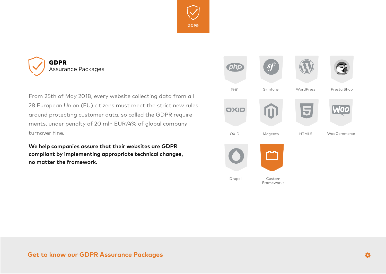



From 25th of May 2018, every website collecting data from all 28 European Union (EU) citizens must meet the strict new rules around protecting customer data, so called the GDPR requirements, under penalty of 20 mln EUR/4% of global company turnover fine.

**We help companies assure that their websites are GDPR compliant by implementing appropriate technical changes, no matter the framework.**

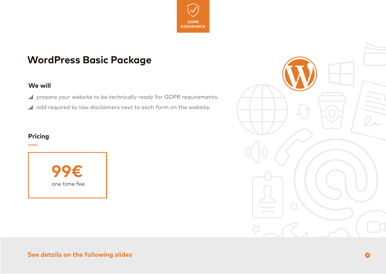

### **WordPress Basic Package**

### **We will**

- ... I prepare your website to be technically ready for GDPR requirements.
- ... dd required by law disclaimers next to each form on the website.

### **Pricing**



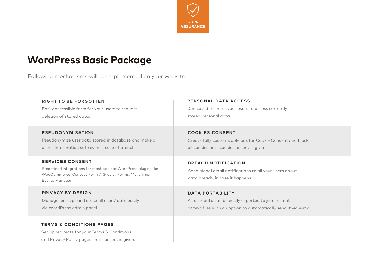

### **WordPress Basic Package**

Following mechanisms will be implemented on your website:

#### **RIGHT TO BE FORGOTTEN**

Easily accessible form for your users to request deletion of stored data.

#### **PSEUDONYMISATION**

Pseudonymize user data stored in database and make all users' information safe even in case of breach.

#### **SERVICES CONSENT**

Predefined integrations for most popular WordPress plugins like WooCommerce, Contact Form 7, Gravity Forms, Mailchimp, Events Manager.

#### **PRIVACY BY DESIGN**

Manage, encrypt and erase all users' data easily via WordPress admin panel.

### **TERMS & CONDITIONS PAGES**

Set up redirects for your Terms & Conditions and Privacy Policy pages until consent is given.

#### **PERSONAL DATA ACCESS**

Dedicated form for your users to access currently stored personal data.

#### **COOKIES CONSENT**

Create fully customizable box for Cookie Consent and block all cookies until cookie consent is given.

### **BREACH NOTIFICATION**

Send global email notifications to all your users about data breach, in case it happens.

### **DATA PORTABILITY**

All user data can be easily exported to json format or text files with an option to automatically send it via e-mail.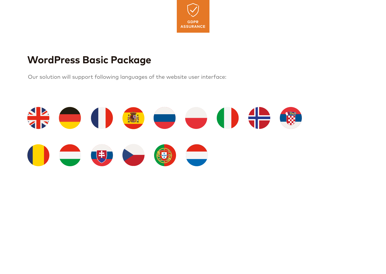

### **WordPress Basic Package**

Our solution will support following languages of the website user interface:

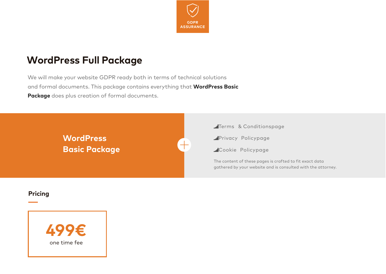

# **WordPress Full Package**

We will make your website GDPR ready both in terms of technical solutions and formal documents. This package contains everything that **WordPress Basic Package** does plus creation of formal documents.

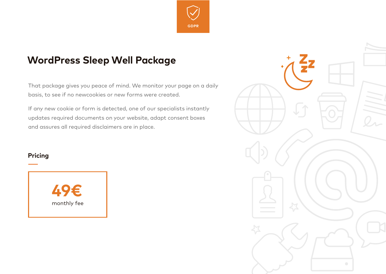

# **WordPress Sleep Well Package**

That package gives you peace of mind. We monitor your page on a daily basis, to see if no newcookies or new forms were created.

If any new cookie or form is detected, one of our specialists instantly updates required documents on your website, adapt consent boxes and assures all required disclaimers are in place.

### **Pricing**



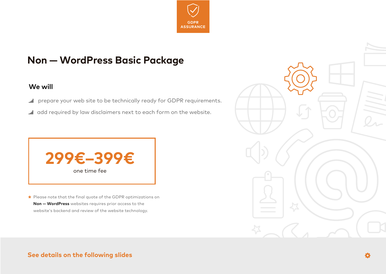

## **Non — WordPress Basic Package**

### **We will**

- **In** prepare your web site to be technically ready for GDPR requirements.
- al add required by law disclaimers next to each form on the website.



Please note that the final quote of the GDPR optimizations on **\*Non — WordPress** websites requires prior access to the website's backend and review of the website technology.

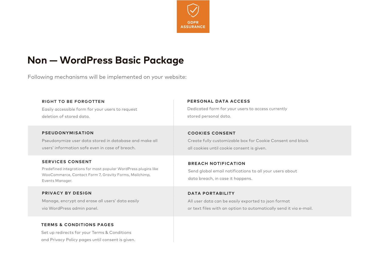

### **Non — WordPress Basic Package**

Following mechanisms will be implemented on your website:

#### **RIGHT TO BE FORGOTTEN**

Easily accessible form for your users to request deletion of stored data.

#### **PSEUDONYMISATION**

Pseudonymize user data stored in database and make all users' information safe even in case of breach.

#### **SERVICES CONSENT**

Predefined integrations for most popular WordPress plugins like WooCommerce, Contact Form 7, Gravity Forms, Mailchimp, Events Manager.

#### **PRIVACY BY DESIGN**

Manage, encrypt and erase all users' data easily via WordPress admin panel.

### **TERMS & CONDITIONS PAGES**

Set up redirects for your Terms & Conditions and Privacy Policy pages until consent is given.

#### **PERSONAL DATA ACCESS**

Dedicated form for your users to access currently stored personal data.

### **COOKIES CONSENT**

Create fully customizable box for Cookie Consent and block all cookies until cookie consent is given.

### **BREACH NOTIFICATION**

Send global email notifications to all your users about data breach, in case it happens.

### **DATA PORTABILITY**

All user data can be easily exported to json format or text files with an option to automatically send it via e-mail.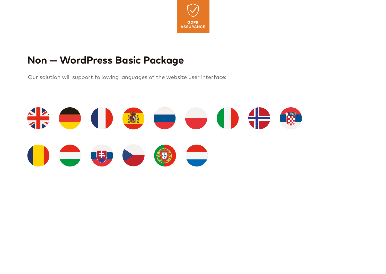

## **Non — WordPress Basic Package**

Our solution will support following languages of the website user interface:

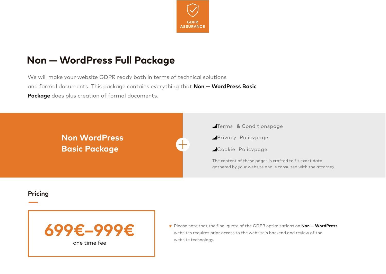

# **Non — WordPress Full Package**

We will make your website GDPR ready both in terms of technical solutions and formal documents. This package contains everything that **Non — WordPress Basic Package** does plus creation of formal documents.

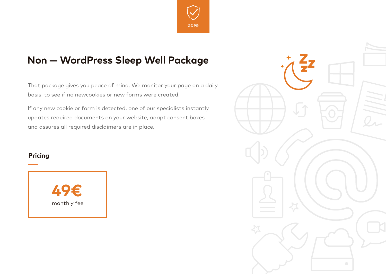

# **Non — WordPress Sleep Well Package**

That package gives you peace of mind. We monitor your page on a daily basis, to see if no newcookies or new forms were created.

If any new cookie or form is detected, one of our specialists instantly updates required documents on your website, adapt consent boxes and assures all required disclaimers are in place.

### **Pricing**



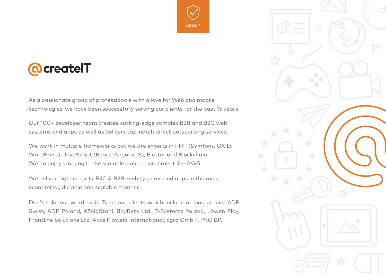

# *<u>AcreatelT</u>*

As a passionate group of professionals with a love for Web and mobile technologies, we have been successfully serving our clients for the past 15 years.

Our 100+ developer team creates cutting-edge complex B2B and B2C web systems and apps as well as delivers top-notch direct outsourcing services.

We work in multiple frameworks but we are experts in PHP (Symfony, OXID, WordPress), JavaScript (React, AngularJS), Flutter and Blockchain. We do enjoy working in the scalable cloud environment like AWS.

We deliver high integrity B2C & B2B web systems and apps in the most economical, durable and scalable manner.

Don't take our word on it. Trust our clients which include among others: ADP Swiss, ADP Poland, KönigStahl, BayBets Ltd., T-Systems Poland, Löwen Play, Frontline Solutions Ltd, Avas Flowers International, cgrd GmbH, PKO BP.